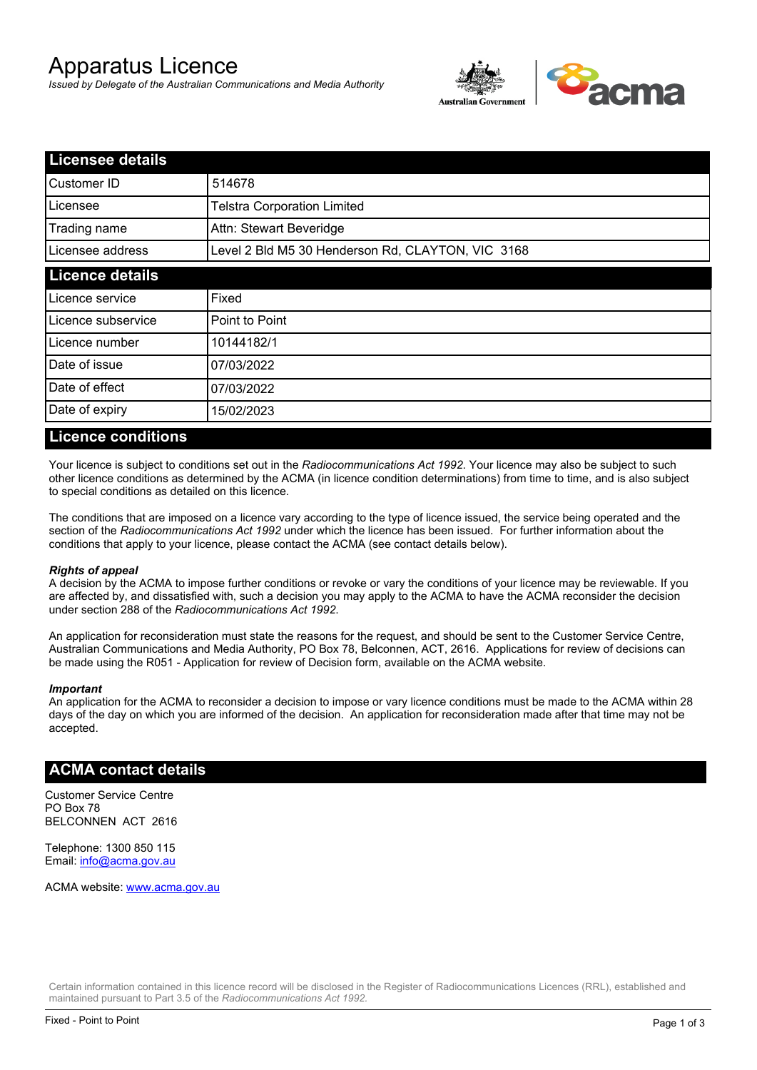# Apparatus Licence

*Issued by Delegate of the Australian Communications and Media Authority*



| <b>Licensee details</b> |                                                   |  |
|-------------------------|---------------------------------------------------|--|
| Customer ID             | 514678                                            |  |
| Licensee                | <b>Telstra Corporation Limited</b>                |  |
| Trading name            | Attn: Stewart Beveridge                           |  |
| Licensee address        | Level 2 Bld M5 30 Henderson Rd, CLAYTON, VIC 3168 |  |
| <b>Licence details</b>  |                                                   |  |
| Licence service         | Fixed                                             |  |
| Licence subservice      | Point to Point                                    |  |
| Licence number          | 10144182/1                                        |  |
| Date of issue           | 07/03/2022                                        |  |
| Date of effect          | 07/03/2022                                        |  |
| Date of expiry          | 15/02/2023                                        |  |

#### **Licence conditions**

Your licence is subject to conditions set out in the *Radiocommunications Act 1992*. Your licence may also be subject to such other licence conditions as determined by the ACMA (in licence condition determinations) from time to time, and is also subject to special conditions as detailed on this licence.

The conditions that are imposed on a licence vary according to the type of licence issued, the service being operated and the section of the *Radiocommunications Act 1992* under which the licence has been issued. For further information about the conditions that apply to your licence, please contact the ACMA (see contact details below).

#### *Rights of appeal*

A decision by the ACMA to impose further conditions or revoke or vary the conditions of your licence may be reviewable. If you are affected by, and dissatisfied with, such a decision you may apply to the ACMA to have the ACMA reconsider the decision under section 288 of the *Radiocommunications Act 1992*.

An application for reconsideration must state the reasons for the request, and should be sent to the Customer Service Centre, Australian Communications and Media Authority, PO Box 78, Belconnen, ACT, 2616. Applications for review of decisions can be made using the R051 - Application for review of Decision form, available on the ACMA website.

#### *Important*

An application for the ACMA to reconsider a decision to impose or vary licence conditions must be made to the ACMA within 28 days of the day on which you are informed of the decision. An application for reconsideration made after that time may not be accepted.

### **ACMA contact details**

Customer Service Centre PO Box 78 BELCONNEN ACT 2616

Telephone: 1300 850 115 Email: info@acma.gov.au

ACMA website: www.acma.gov.au

Certain information contained in this licence record will be disclosed in the Register of Radiocommunications Licences (RRL), established and maintained pursuant to Part 3.5 of the *Radiocommunications Act 1992.*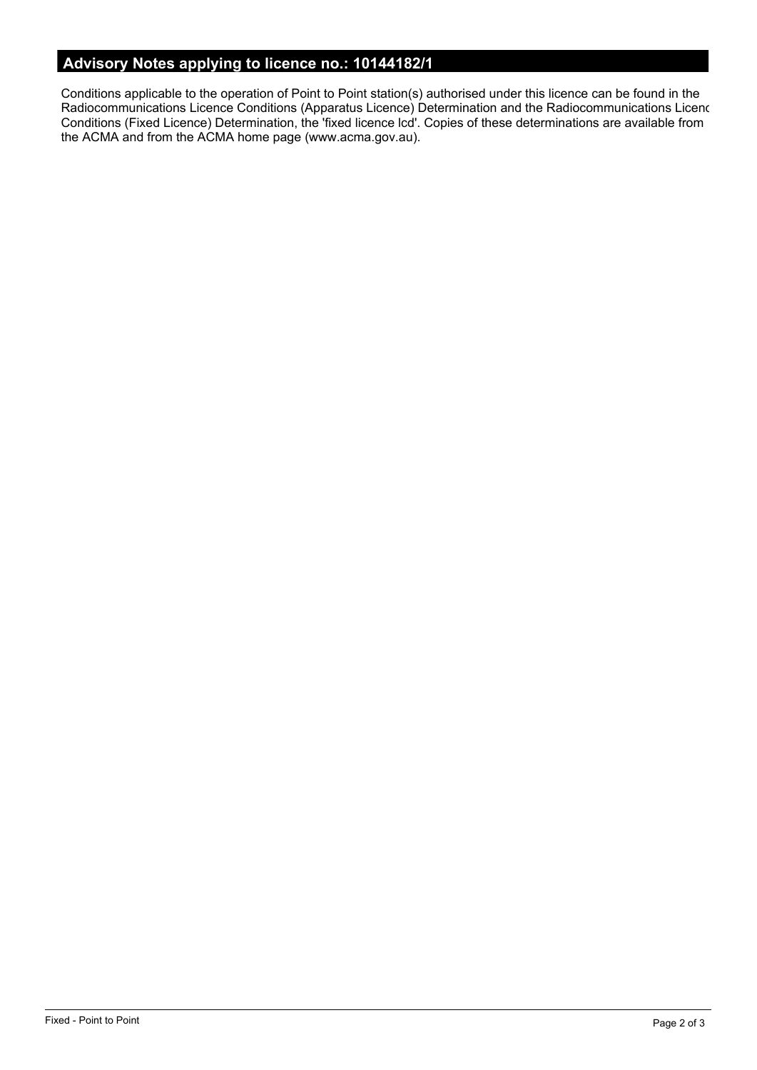# **Advisory Notes applying to licence no.: 10144182/1**

Conditions applicable to the operation of Point to Point station(s) authorised under this licence can be found in the Radiocommunications Licence Conditions (Apparatus Licence) Determination and the Radiocommunications Licence Conditions (Fixed Licence) Determination, the 'fixed licence lcd'. Copies of these determinations are available from the ACMA and from the ACMA home page (www.acma.gov.au).